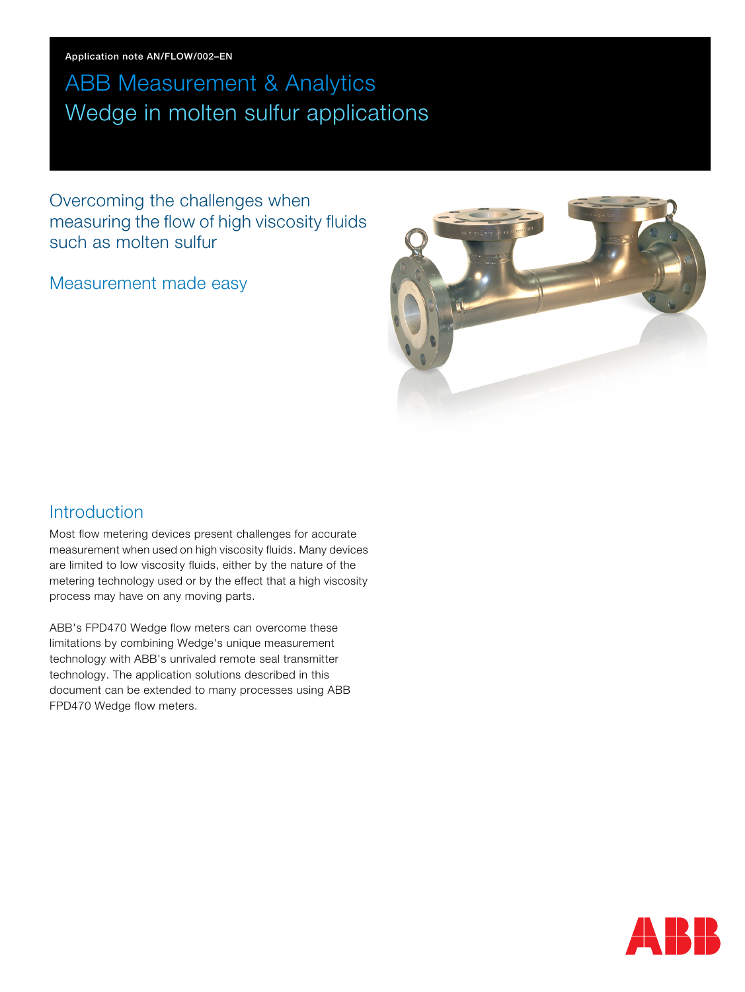Application note AN/FLOW/002–EN

# ABB Measurement & Analytics Wedge in molten sulfur applications

Overcoming the challenges when measuring the flow of high viscosity fluids such as molten sulfur

Measurement made easy



### **Introduction**

Most flow metering devices present challenges for accurate measurement when used on high viscosity fluids. Many devices are limited to low viscosity fluids, either by the nature of the metering technology used or by the effect that a high viscosity process may have on any moving parts.

ABB's FPD470 Wedge flow meters can overcome these limitations by combining Wedge's unique measurement technology with ABB's unrivaled remote seal transmitter technology. The application solutions described in this document can be extended to many processes using ABB FPD470 Wedge flow meters.

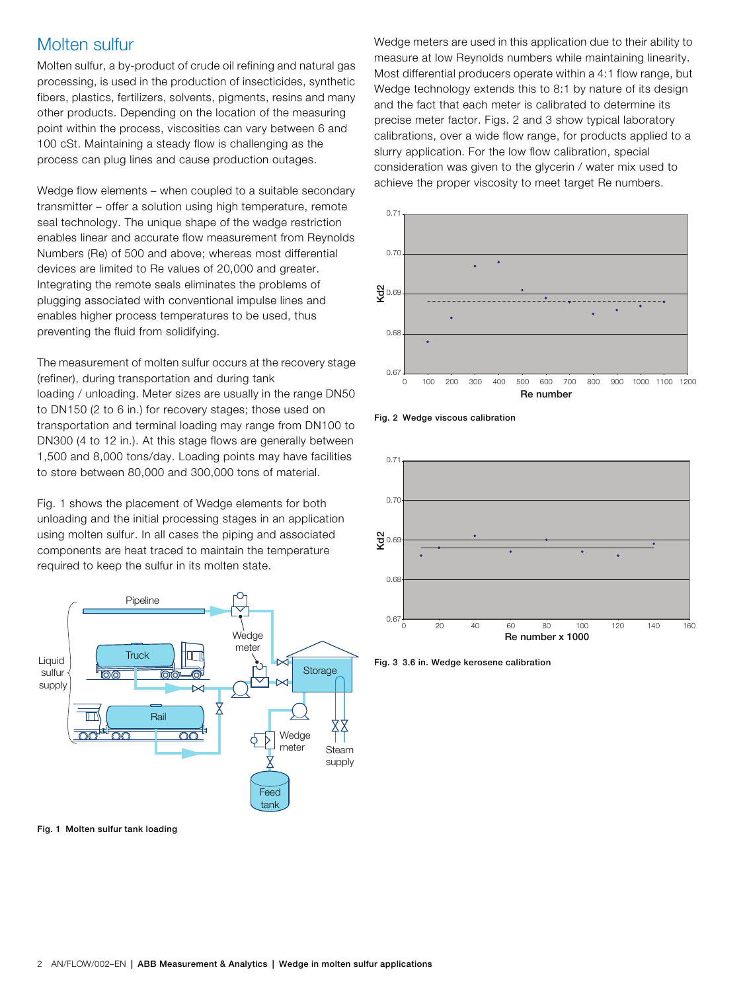### Molten sulfur

Molten sulfur, a by-product of crude oil refining and natural gas processing, is used in the production of insecticides, synthetic fibers, plastics, fertilizers, solvents, pigments, resins and many other products. Depending on the location of the measuring point within the process, viscosities can vary between 6 and 100 cSt. Maintaining a steady flow is challenging as the process can plug lines and cause production outages.

Wedge flow elements – when coupled to a suitable secondary transmitter – offer a solution using high temperature, remote seal technology. The unique shape of the wedge restriction enables linear and accurate flow measurement from Reynolds Numbers (Re) of 500 and above; whereas most differential devices are limited to Re values of 20,000 and greater. Integrating the remote seals eliminates the problems of plugging associated with conventional impulse lines and enables higher process temperatures to be used, thus preventing the fluid from solidifying.

The measurement of molten sulfur occurs at the recovery stage (refiner), during transportation and during tank loading / unloading. Meter sizes are usually in the range DN50 to DN150 (2 to 6 in.) for recovery stages; those used on transportation and terminal loading may range from DN100 to DN300 (4 to 12 in.). At this stage flows are generally between 1,500 and 8,000 tons/day. Loading points may have facilities to store between 80,000 and 300,000 tons of material.

[Fig. 1](#page-1-0) shows the placement of Wedge elements for both unloading and the initial processing stages in an application using molten sulfur. In all cases the piping and associated components are heat traced to maintain the temperature required to keep the sulfur in its molten state.

<span id="page-1-0"></span>

Fig. 1 Molten sulfur tank loading

Wedge meters are used in this application due to their ability to measure at low Reynolds numbers while maintaining linearity. Most differential producers operate within a 4:1 flow range, but Wedge technology extends this to 8:1 by nature of its design and the fact that each meter is calibrated to determine its precise meter factor. Figs. [2](#page-1-1) and [3](#page-1-2) show typical laboratory calibrations, over a wide flow range, for products applied to a slurry application. For the low flow calibration, special consideration was given to the glycerin / water mix used to achieve the proper viscosity to meet target Re numbers.

<span id="page-1-1"></span>

Fig. 2 Wedge viscous calibration

<span id="page-1-2"></span>

Fig. 3 3.6 in. Wedge kerosene calibration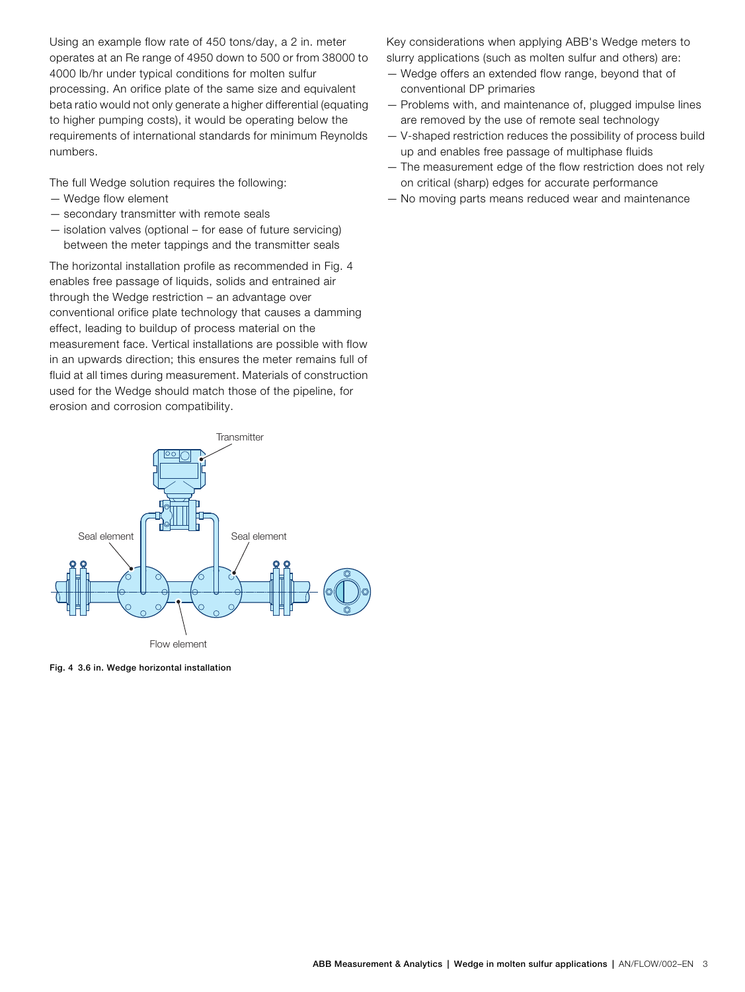Using an example flow rate of 450 tons/day, a 2 in. meter operates at an Re range of 4950 down to 500 or from 38000 to 4000 lb/hr under typical conditions for molten sulfur processing. An orifice plate of the same size and equivalent beta ratio would not only generate a higher differential (equating to higher pumping costs), it would be operating below the requirements of international standards for minimum Reynolds numbers.

The full Wedge solution requires the following:

- Wedge flow element
- secondary transmitter with remote seals
- isolation valves (optional for ease of future servicing) between the meter tappings and the transmitter seals

The horizontal installation profile as recommended in [Fig. 4](#page-2-0) enables free passage of liquids, solids and entrained air through the Wedge restriction – an advantage over conventional orifice plate technology that causes a damming effect, leading to buildup of process material on the measurement face. Vertical installations are possible with flow in an upwards direction; this ensures the meter remains full of fluid at all times during measurement. Materials of construction used for the Wedge should match those of the pipeline, for erosion and corrosion compatibility.

<span id="page-2-0"></span>

Fig. 4 3.6 in. Wedge horizontal installation

Key considerations when applying ABB's Wedge meters to slurry applications (such as molten sulfur and others) are:

- Wedge offers an extended flow range, beyond that of conventional DP primaries
- Problems with, and maintenance of, plugged impulse lines are removed by the use of remote seal technology
- V-shaped restriction reduces the possibility of process build up and enables free passage of multiphase fluids
- The measurement edge of the flow restriction does not rely on critical (sharp) edges for accurate performance
- No moving parts means reduced wear and maintenance